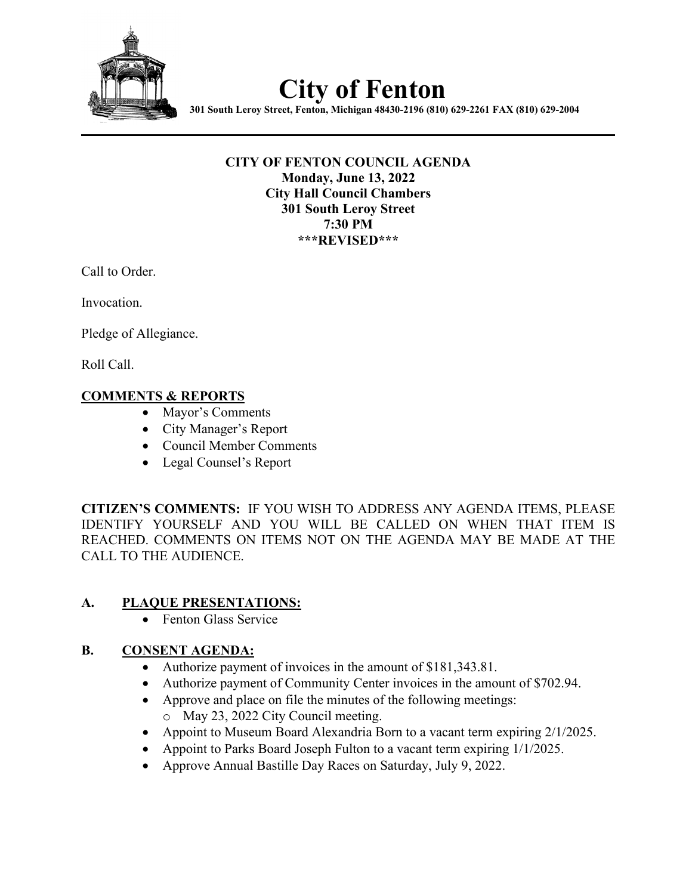

# **City of Fenton**

**301 South Leroy Street, Fenton, Michigan 48430-2196 (810) 629-2261 FAX (810) 629-2004**

#### **CITY OF FENTON COUNCIL AGENDA Monday, June 13, 2022 City Hall Council Chambers 301 South Leroy Street 7:30 PM \*\*\*REVISED\*\*\***

Call to Order.

Invocation.

Pledge of Allegiance.

Roll Call.

# **COMMENTS & REPORTS**

- Mayor's Comments
- City Manager's Report
- Council Member Comments
- Legal Counsel's Report

**CITIZEN'S COMMENTS:** IF YOU WISH TO ADDRESS ANY AGENDA ITEMS, PLEASE IDENTIFY YOURSELF AND YOU WILL BE CALLED ON WHEN THAT ITEM IS REACHED. COMMENTS ON ITEMS NOT ON THE AGENDA MAY BE MADE AT THE CALL TO THE AUDIENCE.

# **A. PLAQUE PRESENTATIONS:**

• Fenton Glass Service

# **B. CONSENT AGENDA:**

- Authorize payment of invoices in the amount of \$181,343.81.
- Authorize payment of Community Center invoices in the amount of \$702.94.
- Approve and place on file the minutes of the following meetings:
	- o May 23, 2022 City Council meeting.
- Appoint to Museum Board Alexandria Born to a vacant term expiring 2/1/2025.
- Appoint to Parks Board Joseph Fulton to a vacant term expiring  $1/1/2025$ .
- Approve Annual Bastille Day Races on Saturday, July 9, 2022.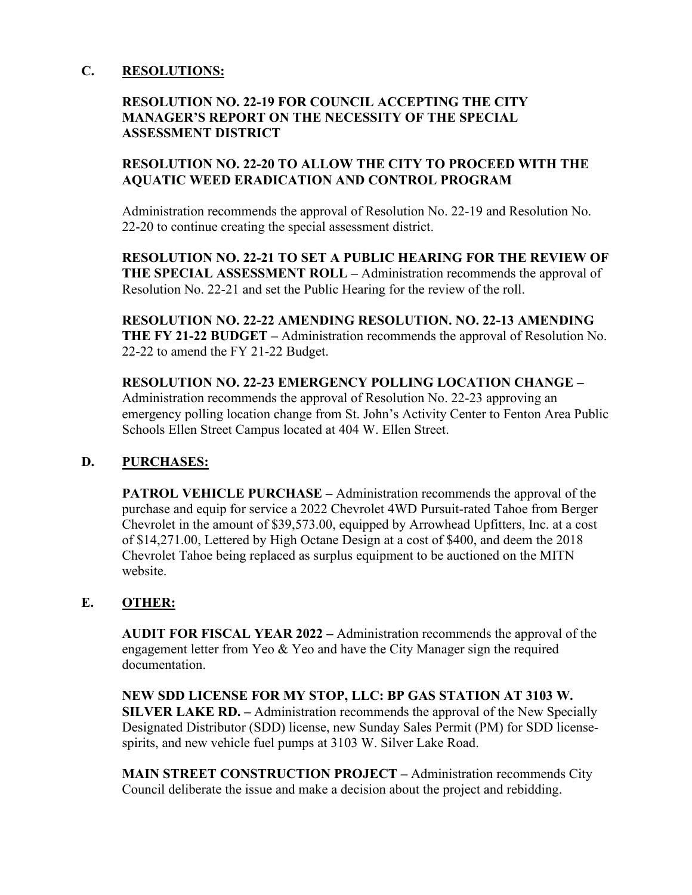#### **C. RESOLUTIONS:**

# **RESOLUTION NO. 22-19 FOR COUNCIL ACCEPTING THE CITY MANAGER'S REPORT ON THE NECESSITY OF THE SPECIAL ASSESSMENT DISTRICT**

# **RESOLUTION NO. 22-20 TO ALLOW THE CITY TO PROCEED WITH THE AQUATIC WEED ERADICATION AND CONTROL PROGRAM**

Administration recommends the approval of Resolution No. 22-19 and Resolution No. 22-20 to continue creating the special assessment district.

**RESOLUTION NO. 22-21 TO SET A PUBLIC HEARING FOR THE REVIEW OF THE SPECIAL ASSESSMENT ROLL –** Administration recommends the approval of Resolution No. 22-21 and set the Public Hearing for the review of the roll.

**RESOLUTION NO. 22-22 AMENDING RESOLUTION. NO. 22-13 AMENDING THE FY 21-22 BUDGET –** Administration recommends the approval of Resolution No. 22-22 to amend the FY 21-22 Budget.

**RESOLUTION NO. 22-23 EMERGENCY POLLING LOCATION CHANGE –**  Administration recommends the approval of Resolution No. 22-23 approving an emergency polling location change from St. John's Activity Center to Fenton Area Public Schools Ellen Street Campus located at 404 W. Ellen Street.

# **D. PURCHASES:**

**PATROL VEHICLE PURCHASE –** Administration recommends the approval of the purchase and equip for service a 2022 Chevrolet 4WD Pursuit-rated Tahoe from Berger Chevrolet in the amount of \$39,573.00, equipped by Arrowhead Upfitters, Inc. at a cost of \$14,271.00, Lettered by High Octane Design at a cost of \$400, and deem the 2018 Chevrolet Tahoe being replaced as surplus equipment to be auctioned on the MITN website.

# **E. OTHER:**

**AUDIT FOR FISCAL YEAR 2022 –** Administration recommends the approval of the engagement letter from Yeo & Yeo and have the City Manager sign the required documentation.

**NEW SDD LICENSE FOR MY STOP, LLC: BP GAS STATION AT 3103 W. SILVER LAKE RD. –** Administration recommends the approval of the New Specially Designated Distributor (SDD) license, new Sunday Sales Permit (PM) for SDD licensespirits, and new vehicle fuel pumps at 3103 W. Silver Lake Road.

**MAIN STREET CONSTRUCTION PROJECT –** Administration recommends City Council deliberate the issue and make a decision about the project and rebidding.